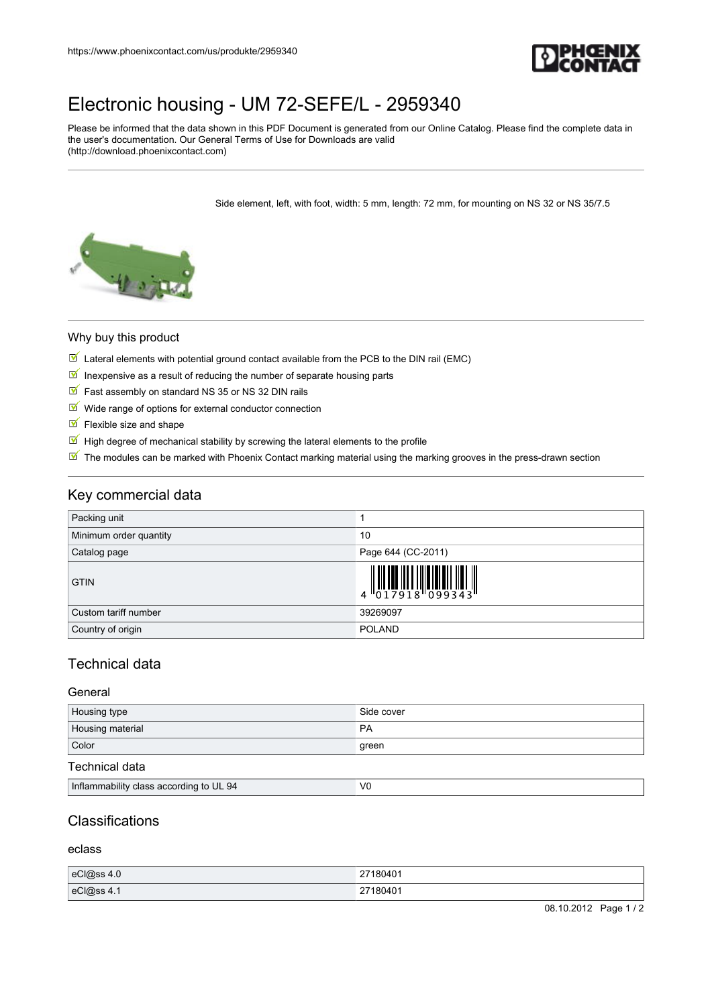

## [Electronic housing - UM 72-SEFE/L - 2959340](https://www.phoenixcontact.com/us/produkte/2959340)

Please be informed that the data shown in this PDF Document is generated from our Online Catalog. Please find the complete data in the user's documentation. Our General Terms of Use for Downloads are valid (http://download.phoenixcontact.com)

Side element, left, with foot, width: 5 mm, length: 72 mm, for mounting on NS 32 or NS 35/7.5



#### Why buy this product

- $\mathbb N$  Lateral elements with potential ground contact available from the PCB to the DIN rail (EMC)
- In inexpensive as a result of reducing the number of separate housing parts
- $\triangleright$  Fast assembly on standard NS 35 or NS 32 DIN rails
- $M$  Wide range of options for external conductor connection
- $\blacksquare$  Flexible size and shape
- $\mathbb F$  High degree of mechanical stability by screwing the lateral elements to the profile
- The modules can be marked with Phoenix Contact marking material using the marking grooves in the press-drawn section

## Key commercial data

| Packing unit           |                                                                                                                                                                                                                                                                                                                             |
|------------------------|-----------------------------------------------------------------------------------------------------------------------------------------------------------------------------------------------------------------------------------------------------------------------------------------------------------------------------|
| Minimum order quantity | 10                                                                                                                                                                                                                                                                                                                          |
| Catalog page           | Page 644 (CC-2011)                                                                                                                                                                                                                                                                                                          |
| <b>GTIN</b>            | $\begin{array}{c} 1 & 0 & 0 & 0 & 0 \\ 0 & 1 & 0 & 0 & 0 \\ 0 & 1 & 0 & 0 & 0 \\ 0 & 0 & 0 & 0 & 0 \\ 0 & 0 & 0 & 0 & 0 \\ 0 & 0 & 0 & 0 & 0 \\ 0 & 0 & 0 & 0 & 0 \\ 0 & 0 & 0 & 0 & 0 \\ 0 & 0 & 0 & 0 & 0 \\ 0 & 0 & 0 & 0 & 0 \\ 0 & 0 & 0 & 0 & 0 \\ 0 & 0 & 0 & 0 & 0 & 0 \\ 0 & 0 & 0 & 0 & 0 & 0 \\ 0 & 0 & 0 & 0 &$ |
| Custom tariff number   | 39269097                                                                                                                                                                                                                                                                                                                    |
| Country of origin      | <b>POLAND</b>                                                                                                                                                                                                                                                                                                               |

## Technical data

#### General

| Housing type     | Side cover |
|------------------|------------|
| Housing material | PA         |
| Color            | green      |

#### Technical data

| <br>$\mathsf{V}$<br>Intlamı<br>1 to UL 94<br>mability of<br>v class according.<br> |  |
|------------------------------------------------------------------------------------|--|

## **Classifications**

eclass

| eC @ss 4.0 | 27180401 |
|------------|----------|
| eCl@ss 4.1 | 27180401 |